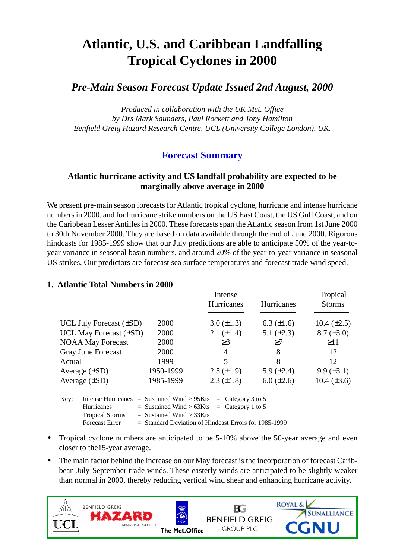# **Atlantic, U.S. and Caribbean Landfalling Tropical Cyclones in 2000**

# *Pre-Main Season Forecast Update Issued 2nd August, 2000*

*Produced in collaboration with the UK Met. Office by Drs Mark Saunders, Paul Rockett and Tony Hamilton Benfield Greig Hazard Research Centre, UCL (University College London), UK.*

## **Forecast Summary**

## **Atlantic hurricane activity and US landfall probability are expected to be marginally above average in 2000**

We present pre-main season forecasts for Atlantic tropical cyclone, hurricane and intense hurricane numbers in 2000, and for hurricane strike numbers on the US East Coast, the US Gulf Coast, and on the Caribbean Lesser Antilles in 2000. These forecasts span the Atlantic season from 1st June 2000 to 30th November 2000. They are based on data available through the end of June 2000. Rigorous hindcasts for 1985-1999 show that our July predictions are able to anticipate 50% of the year-toyear variance in seasonal basin numbers, and around 20% of the year-to-year variance in seasonal US strikes. Our predictors are forecast sea surface temperatures and forecast trade wind speed.

|                             |                                                                      |                                                                                                                                                                                                                         | Intense<br>Hurricanes | Hurricanes        | Tropical<br><b>Storms</b> |
|-----------------------------|----------------------------------------------------------------------|-------------------------------------------------------------------------------------------------------------------------------------------------------------------------------------------------------------------------|-----------------------|-------------------|---------------------------|
|                             | UCL July Forecast $(\pm SD)$                                         | <b>2000</b>                                                                                                                                                                                                             | $3.0 (\pm 1.3)$       | $6.3 \ (\pm 1.6)$ | 10.4 $(\pm 2.5)$          |
| UCL May Forecast $(\pm SD)$ |                                                                      | 2000                                                                                                                                                                                                                    | $2.1 (\pm 1.4)$       | 5.1 $(\pm 2.3)$   | $8.7 (\pm 3.0)$           |
| <b>NOAA May Forecast</b>    |                                                                      | 2000                                                                                                                                                                                                                    | $\geq$ 3              | >7                | $\geq$ 11                 |
| Gray June Forecast          |                                                                      | 2000                                                                                                                                                                                                                    | $\overline{4}$        | 8                 | 12                        |
| Actual                      |                                                                      | 1999                                                                                                                                                                                                                    | 5                     | 8                 | 12                        |
| Average $(\pm SD)$          |                                                                      | 1950-1999                                                                                                                                                                                                               | $2.5 \ (\pm 1.9)$     | 5.9 $(\pm 2.4)$   | $9.9 \ (\pm 3.1)$         |
| Average $(\pm SD)$          |                                                                      | 1985-1999                                                                                                                                                                                                               | $2.3 \ (\pm 1.8)$     | $6.0 \ (\pm 2.6)$ | $10.4 (\pm 3.6)$          |
| Key:                        | <b>Hurricanes</b><br><b>Tropical Storms</b><br><b>Forecast Error</b> | Intense Hurricanes = Sustained Wind > $95Kts$<br>$=$ Category 3 to 5<br>$=$ Category 1 to 5<br>$=$ Sustained Wind $> 63K$ ts<br>$=$ Sustained Wind $>$ 33Kts<br>$=$ Standard Deviation of Hindcast Errors for 1985-1999 |                       |                   |                           |

### **1. Atlantic Total Numbers in 2000**

- Tropical cyclone numbers are anticipated to be 5-10% above the 50-year average and even closer to the15-year average.
- The main factor behind the increase on our May forecast is the incorporation of forecast Caribbean July-September trade winds. These easterly winds are anticipated to be slightly weaker than normal in 2000, thereby reducing vertical wind shear and enhancing hurricane activity.

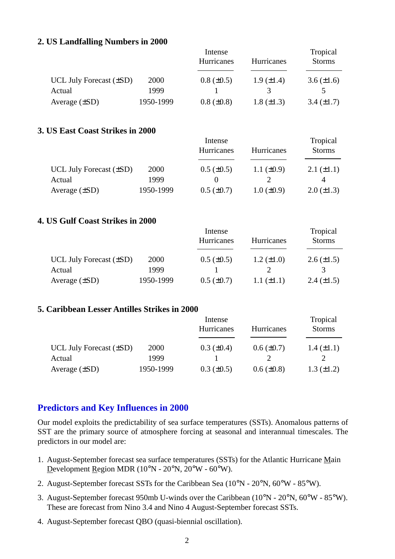#### **2. US Landfalling Numbers in 2000**

|                              |           | Intense         | Tropical          |                   |
|------------------------------|-----------|-----------------|-------------------|-------------------|
|                              |           | Hurricanes      | <b>Hurricanes</b> | <b>Storms</b>     |
| UCL July Forecast $(\pm SD)$ | 2000      | $0.8 (\pm 0.5)$ | $1.9 \ (\pm 1.4)$ | $3.6 (\pm 1.6)$   |
| Actual                       | 1999      |                 |                   |                   |
| Average $(\pm SD)$           | 1950-1999 | $0.8 (\pm 0.8)$ | 1.8 $(\pm 1.3)$   | $3.4 \ (\pm 1.7)$ |

#### **3. US East Coast Strikes in 2000**

|                              |           | Intense           | Tropical          |                   |
|------------------------------|-----------|-------------------|-------------------|-------------------|
|                              |           | Hurricanes        | <b>Hurricanes</b> | <b>Storms</b>     |
| UCL July Forecast $(\pm SD)$ | 2000      | $0.5 \ (\pm 0.5)$ | 1.1 $(\pm 0.9)$   | $2.1 (\pm 1.1)$   |
| Actual                       | 1999      |                   |                   |                   |
| Average $(\pm SD)$           | 1950-1999 | $0.5 (\pm 0.7)$   | $1.0 \ (\pm 0.9)$ | $2.0 \ (\pm 1.3)$ |

#### **4. US Gulf Coast Strikes in 2000**

|                              |           | Intense           | Tropical          |                   |
|------------------------------|-----------|-------------------|-------------------|-------------------|
|                              |           | Hurricanes        | <b>Hurricanes</b> | <b>Storms</b>     |
| UCL July Forecast $(\pm SD)$ | 2000      | $0.5 (\pm 0.5)$   | 1.2 $(\pm 1.0)$   | $2.6 \ (\pm 1.5)$ |
| Actual                       | 1999      |                   |                   | $\mathcal{R}$     |
| Average $(\pm SD)$           | 1950-1999 | $0.5 \ (\pm 0.7)$ | 1.1 $(\pm 1.1)$   | $2.4 \ (\pm 1.5)$ |

### **5. Caribbean Lesser Antilles Strikes in 2000**

|                              |           | Intense           | Tropical          |                   |
|------------------------------|-----------|-------------------|-------------------|-------------------|
|                              |           | Hurricanes        | <b>Hurricanes</b> | <b>Storms</b>     |
| UCL July Forecast $(\pm SD)$ | 2000      | $0.3 \ (\pm 0.4)$ | $0.6 (\pm 0.7)$   | $1.4 \ (\pm 1.1)$ |
| Actual                       | 1999      |                   |                   |                   |
| Average $(\pm SD)$           | 1950-1999 | $0.3 \ (\pm 0.5)$ | $0.6 \ (\pm 0.8)$ | $1.3 \ (\pm 1.2)$ |

### **Predictors and Key Influences in 2000**

Our model exploits the predictability of sea surface temperatures (SSTs). Anomalous patterns of SST are the primary source of atmosphere forcing at seasonal and interannual timescales. The predictors in our model are:

- 1. August-September forecast sea surface temperatures (SSTs) for the Atlantic Hurricane Main Development Region MDR (10°N - 20°N, 20°W - 60°W).
- 2. August-September forecast SSTs for the Caribbean Sea (10°N 20°N, 60°W 85°W).
- 3. August-September forecast 950mb U-winds over the Caribbean (10°N 20°N, 60°W 85°W). These are forecast from Nino 3.4 and Nino 4 August-September forecast SSTs.
- 4. August-September forecast QBO (quasi-biennial oscillation).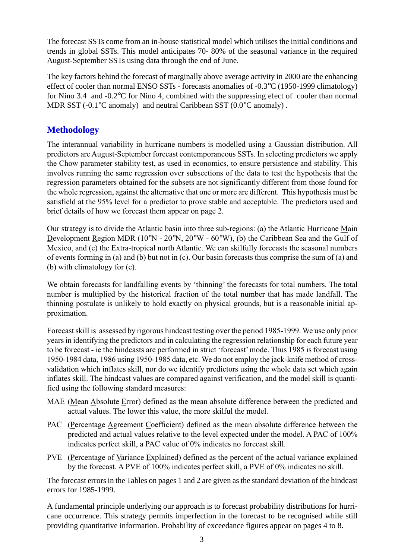The forecast SSTs come from an in-house statistical model which utilises the initial conditions and trends in global SSTs. This model anticipates 70- 80% of the seasonal variance in the required August-September SSTs using data through the end of June.

The key factors behind the forecast of marginally above average activity in 2000 are the enhancing effect of cooler than normal ENSO SSTs - forecasts anomalies of -0.3°C (1950-1999 climatology) for Nino 3.4 and -0.2°C for Nino 4, combined with the suppressing efect of cooler than normal MDR SST (-0.1°C anomaly) and neutral Caribbean SST (0.0°C anomaly).

## **Methodology**

The interannual variability in hurricane numbers is modelled using a Gaussian distribution. All predictors are August-September forecast contemporaneous SSTs. In selecting predictors we apply the Chow parameter stability test, as used in economics, to ensure persistence and stability. This involves running the same regression over subsections of the data to test the hypothesis that the regression parameters obtained for the subsets are not significantly different from those found for the whole regression, against the alternative that one or more are different. This hypothesis must be satisfield at the 95% level for a predictor to prove stable and acceptable. The predictors used and brief details of how we forecast them appear on page 2.

Our strategy is to divide the Atlantic basin into three sub-regions: (a) the Atlantic Hurricane Main Development Region MDR ( $10^{\circ}$ N -  $20^{\circ}$ N,  $20^{\circ}$ W -  $60^{\circ}$ W), (b) the Caribbean Sea and the Gulf of Mexico, and (c) the Extra-tropical north Atlantic. We can skilfully forecasts the seasonal numbers of events forming in (a) and (b) but not in (c). Our basin forecasts thus comprise the sum of (a) and (b) with climatology for (c).

We obtain forecasts for landfalling events by 'thinning' the forecasts for total numbers. The total number is multiplied by the historical fraction of the total number that has made landfall. The thinning postulate is unlikely to hold exactly on physical grounds, but is a reasonable initial approximation.

Forecast skill is assessed by rigorous hindcast testing over the period 1985-1999. We use only prior years in identifying the predictors and in calculating the regression relationship for each future year to be forecast - ie the hindcasts are performed in strict 'forecast' mode. Thus 1985 is forecast using 1950-1984 data, 1986 using 1950-1985 data, etc. We do not employ the jack-knife method of crossvalidation which inflates skill, nor do we identify predictors using the whole data set which again inflates skill. The hindcast values are compared against verification, and the model skill is quantified using the following standard measures:

- MAE (Mean Absolute Error) defined as the mean absolute difference between the predicted and actual values. The lower this value, the more skilful the model.
- PAC (Percentage Agreement Coefficient) defined as the mean absolute difference between the predicted and actual values relative to the level expected under the model. A PAC of 100% indicates perfect skill, a PAC value of 0% indicates no forecast skill.
- PVE (Percentage of Variance Explained) defined as the percent of the actual variance explained by the forecast. A PVE of 100% indicates perfect skill, a PVE of 0% indicates no skill.

The forecast errors in the Tables on pages 1 and 2 are given as the standard deviation of the hindcast errors for 1985-1999.

A fundamental principle underlying our approach is to forecast probability distributions for hurricane occurrence. This strategy permits imperfection in the forecast to be recognised while still providing quantitative information. Probability of exceedance figures appear on pages 4 to 8.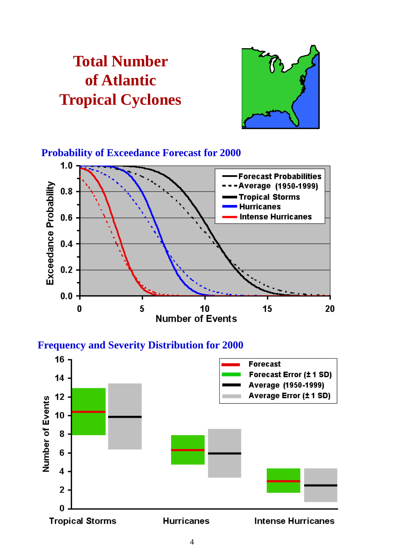# **Total Number of Atlantic Tropical Cyclones**



**Probability of Exceedance Forecast for 2000**



**Frequency and Severity Distribution for 2000**

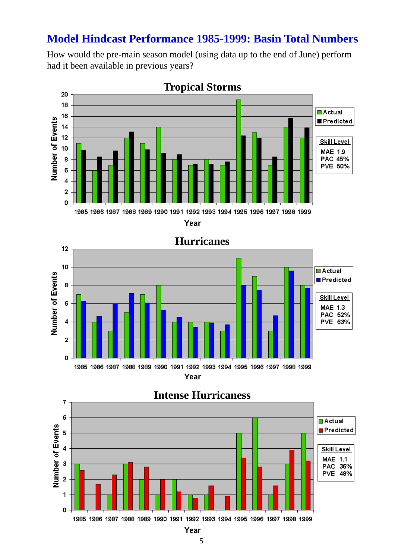# **Model Hindcast Performance 1985-1999: Basin Total Numbers**

How would the pre-main season model (using data up to the end of June) perform had it been available in previous years?



# **Tropical Storms**

Year



# **Intense Hurricaness**

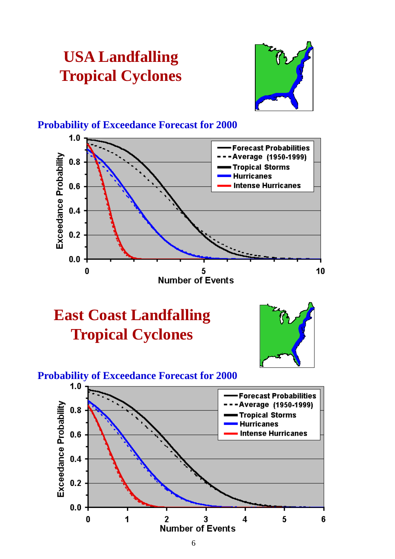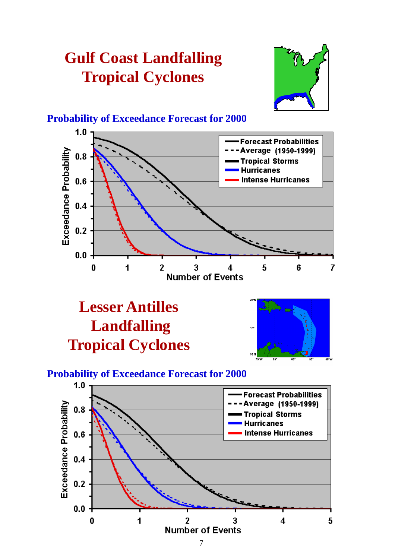# **Gulf Coast Landfalling Tropical Cyclones**



## **Probability of Exceedance Forecast for 2000**



# **Lesser Antilles Landfalling Tropical Cyclones**



# **Probability of Exceedance Forecast for 2000**